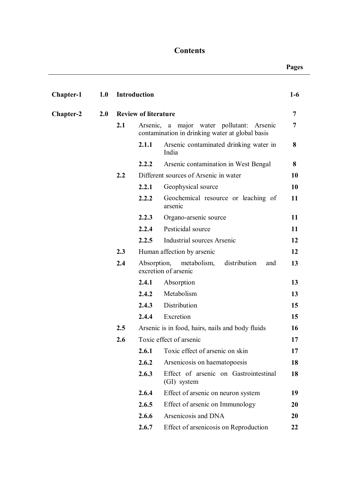## **Contents**

**Pages**

| Chapter-1        | 1.0 |                             | Introduction |                                                                                                 | $1-6$ |
|------------------|-----|-----------------------------|--------------|-------------------------------------------------------------------------------------------------|-------|
| <b>Chapter-2</b> | 2.0 | <b>Review of literature</b> |              | 7                                                                                               |       |
|                  |     | 2.1                         |              | Arsenic, a major water pollutant:<br>Arsenic<br>contamination in drinking water at global basis | 7     |
|                  |     |                             | 2.1.1        | Arsenic contaminated drinking water in<br>India                                                 | 8     |
|                  |     |                             | 2.2.2        | Arsenic contamination in West Bengal                                                            | 8     |
|                  |     | 2.2                         |              | Different sources of Arsenic in water                                                           | 10    |
|                  |     |                             | 2.2.1        | Geophysical source                                                                              | 10    |
|                  |     |                             | 2.2.2        | Geochemical resource or leaching of<br>arsenic                                                  | 11    |
|                  |     |                             | 2.2.3        | Organo-arsenic source                                                                           | 11    |
|                  |     |                             | 2.2.4        | Pesticidal source                                                                               | 11    |
|                  |     |                             | 2.2.5        | Industrial sources Arsenic                                                                      | 12    |
|                  |     | 2.3                         |              | Human affection by arsenic                                                                      | 12    |
|                  |     | 2.4                         |              | Absorption, metabolism,<br>distribution<br>and<br>excretion of arsenic                          | 13    |
|                  |     |                             | 2.4.1        | Absorption                                                                                      | 13    |
|                  |     |                             | 2.4.2        | Metabolism                                                                                      | 13    |
|                  |     |                             | 2.4.3        | Distribution                                                                                    | 15    |
|                  |     |                             | 2.4.4        | Excretion                                                                                       | 15    |
|                  |     | $2.5\,$                     |              | Arsenic is in food, hairs, nails and body fluids                                                | 16    |
|                  |     | 2.6                         |              | Toxic effect of arsenic                                                                         | 17    |
|                  |     |                             | 2.6.1        | Toxic effect of arsenic on skin                                                                 | 17    |
|                  |     |                             | 2.6.2        | Arsenicosis on haematopoesis                                                                    | 18    |
|                  |     |                             | 2.6.3        | Effect of arsenic on Gastrointestinal<br>(GI) system                                            | 18    |
|                  |     |                             | 2.6.4        | Effect of arsenic on neuron system                                                              | 19    |
|                  |     |                             | 2.6.5        | Effect of arsenic on Immunology                                                                 | 20    |
|                  |     |                             | 2.6.6        | Arsenicosis and DNA                                                                             | 20    |
|                  |     |                             | 2.6.7        | Effect of arsenicosis on Reproduction                                                           | 22    |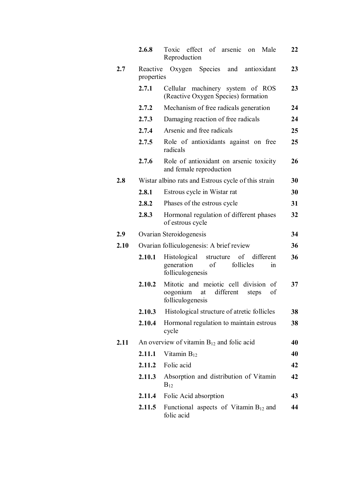|      | 2.6.8                  | Toxic effect of arsenic on<br>Male<br>Reproduction                                                           | 22 |  |  |  |  |  |  |
|------|------------------------|--------------------------------------------------------------------------------------------------------------|----|--|--|--|--|--|--|
| 2.7  | Reactive<br>properties | Oxygen Species and antioxidant                                                                               | 23 |  |  |  |  |  |  |
|      | 2.7.1                  | Cellular machinery system of ROS<br>23<br>(Reactive Oxygen Species) formation                                |    |  |  |  |  |  |  |
|      | 2.7.2                  | Mechanism of free radicals generation                                                                        | 24 |  |  |  |  |  |  |
|      | 2.7.3                  | Damaging reaction of free radicals                                                                           | 24 |  |  |  |  |  |  |
|      | 2.7.4                  | Arsenic and free radicals                                                                                    |    |  |  |  |  |  |  |
|      | 2.7.5                  | Role of antioxidants against on free<br>radicals                                                             | 25 |  |  |  |  |  |  |
|      | 2.7.6                  | Role of antioxidant on arsenic toxicity<br>and female reproduction                                           | 26 |  |  |  |  |  |  |
| 2.8  |                        | Wistar albino rats and Estrous cycle of this strain                                                          | 30 |  |  |  |  |  |  |
|      | 2.8.1                  | Estrous cycle in Wistar rat                                                                                  | 30 |  |  |  |  |  |  |
|      | 2.8.2                  | Phases of the estrous cycle                                                                                  | 31 |  |  |  |  |  |  |
|      | 2.8.3                  | Hormonal regulation of different phases<br>of estrous cycle                                                  | 32 |  |  |  |  |  |  |
| 2.9  |                        | Ovarian Steroidogenesis                                                                                      | 34 |  |  |  |  |  |  |
| 2.10 |                        | Ovarian folliculogenesis: A brief review                                                                     | 36 |  |  |  |  |  |  |
|      | 2.10.1                 | Histological structure of different<br>follicles<br>of<br>generation<br>in<br>folliculogenesis               | 36 |  |  |  |  |  |  |
|      | 2.10.2                 | Mitotic and meiotic cell<br>division<br>of<br>oogonium<br>different<br>at<br>of<br>steps<br>folliculogenesis | 37 |  |  |  |  |  |  |
|      | 2.10.3                 | Histological structure of atretic follicles                                                                  | 38 |  |  |  |  |  |  |
|      | 2.10.4                 | Hormonal regulation to maintain estrous<br>cycle                                                             | 38 |  |  |  |  |  |  |
| 2.11 |                        | An overview of vitamin $B_{12}$ and folic acid                                                               | 40 |  |  |  |  |  |  |
|      | 2.11.1                 | Vitamin $B_{12}$                                                                                             | 40 |  |  |  |  |  |  |
|      | 2.11.2                 | Folic acid                                                                                                   | 42 |  |  |  |  |  |  |
|      | 2.11.3                 | Absorption and distribution of Vitamin<br>$B_{12}$                                                           | 42 |  |  |  |  |  |  |
|      | 2.11.4                 | Folic Acid absorption                                                                                        | 43 |  |  |  |  |  |  |
|      | 2.11.5                 | Functional aspects of Vitamin $B_{12}$ and<br>folic acid                                                     | 44 |  |  |  |  |  |  |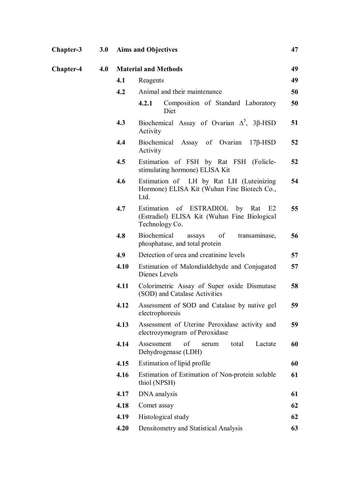| <b>Chapter-3</b> |     | 3.0 Aims and Objectives |                                                                                                     |    |
|------------------|-----|-------------------------|-----------------------------------------------------------------------------------------------------|----|
| <b>Chapter-4</b> | 4.0 |                         | <b>Material and Methods</b>                                                                         | 49 |
|                  |     | 4.1                     | Reagents                                                                                            | 49 |
|                  |     | 4.2                     | Animal and their maintenance                                                                        | 50 |
|                  |     |                         | Composition of Standard Laboratory<br>4.2.1<br>Diet                                                 | 50 |
|                  |     | 4.3                     | Biochemical Assay of Ovarian $\Delta^5$ , 3 $\beta$ -HSD<br>Activity                                | 51 |
|                  |     | 4.4                     | Biochemical Assay of Ovarian<br>$17\beta$ -HSD<br>Activity                                          | 52 |
|                  |     | 4.5                     | Estimation of FSH by Rat FSH (Folicle-<br>stimulating hormone) ELISA Kit                            | 52 |
|                  |     | 4.6                     | Estimation of LH by Rat LH (Luteinizing<br>Hormone) ELISA Kit (Wuhan Fine Biotech Co.,<br>Ltd.      | 54 |
|                  |     | 4.7                     | Estimation of ESTRADIOL by Rat E2<br>(Estradiol) ELISA Kit (Wuhan Fine Biological<br>Technology Co. | 55 |
|                  |     | 4.8                     | Biochemical<br>of<br>transaminase,<br>assays<br>phosphatase, and total protein                      | 56 |
|                  |     | 4.9                     | Detection of urea and creatinine levels                                                             | 57 |
|                  |     | 4.10                    | Estimation of Malondialdehyde and Conjugated<br>Dienes Levels                                       | 57 |
|                  |     | 4.11                    | Colorimetric Assay of Super oxide Dismutase<br>(SOD) and Catalase Activities                        | 58 |
|                  |     | 4.12                    | Assessment of SOD and Catalase by native gel<br>electrophoresis                                     | 59 |
|                  |     | 4.13                    | Assessment of Uterine Peroxidase activity and<br>electrozymogram of Peroxidase                      | 59 |
|                  |     | 4.14                    | Assessment<br>of<br>Lactate<br>total<br>serum<br>Dehydrogenase (LDH)                                | 60 |
|                  |     | 4.15                    | Estimation of lipid profile                                                                         | 60 |
|                  |     | 4.16                    | Estimation of Estimation of Non-protein soluble<br>thiol (NPSH)                                     | 61 |
|                  |     | 4.17                    | DNA analysis                                                                                        | 61 |
|                  |     | 4.18                    | Comet assay                                                                                         | 62 |
|                  |     | 4.19                    | Histological study                                                                                  | 62 |
|                  |     | 4.20                    | Densitometry and Statistical Analysis                                                               | 63 |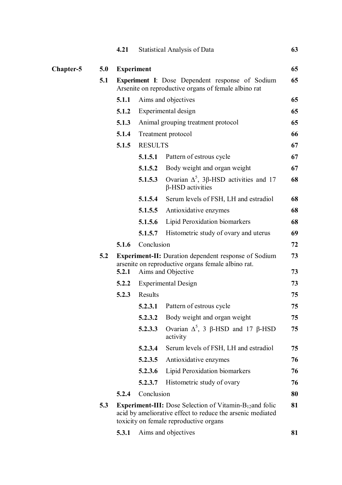|           |     | 4.21                                                                                                    |                   | Statistical Analysis of Data                                                                                                                                                 | 63       |  |
|-----------|-----|---------------------------------------------------------------------------------------------------------|-------------------|------------------------------------------------------------------------------------------------------------------------------------------------------------------------------|----------|--|
| Chapter-5 | 5.0 |                                                                                                         | <b>Experiment</b> |                                                                                                                                                                              |          |  |
|           | 5.1 | Experiment I: Dose Dependent response of Sodium<br>Arsenite on reproductive organs of female albino rat |                   |                                                                                                                                                                              |          |  |
|           |     | 5.1.1                                                                                                   |                   | Aims and objectives                                                                                                                                                          | 65       |  |
|           |     | 5.1.2                                                                                                   |                   | Experimental design                                                                                                                                                          | 65       |  |
|           |     | 5.1.3                                                                                                   |                   | Animal grouping treatment protocol                                                                                                                                           | 65       |  |
|           |     | 5.1.4                                                                                                   |                   | Treatment protocol                                                                                                                                                           | 66       |  |
|           |     | 5.1.5                                                                                                   | <b>RESULTS</b>    |                                                                                                                                                                              | 67       |  |
|           |     |                                                                                                         | 5.1.5.1           | Pattern of estrous cycle                                                                                                                                                     | 67       |  |
|           |     |                                                                                                         | 5.1.5.2           | Body weight and organ weight                                                                                                                                                 | 67       |  |
|           |     |                                                                                                         | 5.1.5.3           | Ovarian $Δ^5$ , 3β-HSD activities and 17<br>$\beta$ -HSD activities                                                                                                          | 68       |  |
|           |     |                                                                                                         | 5.1.5.4           | Serum levels of FSH, LH and estradiol                                                                                                                                        | 68       |  |
|           |     |                                                                                                         | 5.1.5.5           | Antioxidative enzymes                                                                                                                                                        | 68       |  |
|           |     |                                                                                                         | 5.1.5.6           | Lipid Peroxidation biomarkers                                                                                                                                                | 68       |  |
|           |     |                                                                                                         | 5.1.5.7           | Histometric study of ovary and uterus                                                                                                                                        | 69       |  |
|           |     | 5.1.6                                                                                                   | Conclusion        |                                                                                                                                                                              | 72       |  |
|           | 5.2 |                                                                                                         |                   | <b>Experiment-II:</b> Duration dependent response of Sodium<br>arsenite on reproductive organs female albino rat.<br>Aims and Objective                                      | 73<br>73 |  |
|           |     | 5.2.1                                                                                                   |                   |                                                                                                                                                                              | 73       |  |
|           |     | 5.2.2<br>5.2.3                                                                                          | Results           | <b>Experimental Design</b>                                                                                                                                                   | 75       |  |
|           |     |                                                                                                         |                   | <b>5.2.3.1</b> Pattern of estrous cycle                                                                                                                                      | 75       |  |
|           |     |                                                                                                         | 5.2.3.2           | Body weight and organ weight                                                                                                                                                 | 75       |  |
|           |     |                                                                                                         | 5.2.3.3           | Ovarian $Δ^5$ , 3 β-HSD and 17 β-HSD<br>activity                                                                                                                             | 75       |  |
|           |     |                                                                                                         | 5.2.3.4           | Serum levels of FSH, LH and estradiol                                                                                                                                        | 75       |  |
|           |     |                                                                                                         | 5.2.3.5           | Antioxidative enzymes                                                                                                                                                        | 76       |  |
|           |     |                                                                                                         | 5.2.3.6           | Lipid Peroxidation biomarkers                                                                                                                                                | 76       |  |
|           |     |                                                                                                         | 5.2.3.7           | Histometric study of ovary                                                                                                                                                   | 76       |  |
|           |     | 5.2.4                                                                                                   | Conclusion        |                                                                                                                                                                              | 80       |  |
|           | 5.3 |                                                                                                         |                   | <b>Experiment-III:</b> Dose Selection of Vitamin- $B_{12}$ and folic<br>acid by ameliorative effect to reduce the arsenic mediated<br>toxicity on female reproductive organs | 81       |  |
|           |     | 5.3.1                                                                                                   |                   | Aims and objectives                                                                                                                                                          | 81       |  |
|           |     |                                                                                                         |                   |                                                                                                                                                                              |          |  |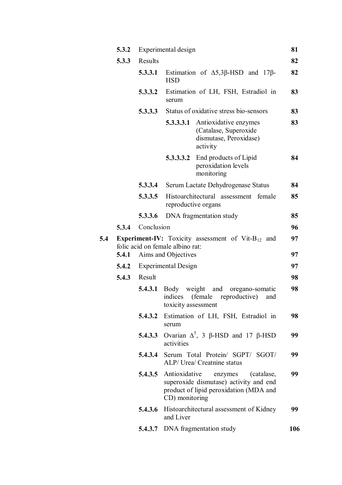|     | 5.3.2 | Experimental design |                                                   |                                                                                                                                        |          |  |  |  |
|-----|-------|---------------------|---------------------------------------------------|----------------------------------------------------------------------------------------------------------------------------------------|----------|--|--|--|
|     | 5.3.3 | Results             |                                                   |                                                                                                                                        |          |  |  |  |
|     |       | 5.3.3.1             | <b>HSD</b>                                        | Estimation of $\Delta$ 5,3 $\beta$ -HSD and 17 $\beta$ -                                                                               | 82       |  |  |  |
|     |       | 5.3.3.2             | serum                                             | Estimation of LH, FSH, Estradiol in                                                                                                    | 83       |  |  |  |
|     |       | 5.3.3.3             |                                                   | Status of oxidative stress bio-sensors                                                                                                 | 83       |  |  |  |
|     |       |                     | 5.3.3.3.1                                         | Antioxidative enzymes<br>(Catalase, Superoxide<br>dismutase, Peroxidase)<br>activity                                                   | 83       |  |  |  |
|     |       |                     | 5.3.3.3.2                                         | End products of Lipid<br>peroxidation levels<br>monitoring                                                                             | 84       |  |  |  |
|     |       | 5.3.3.4             |                                                   | Serum Lactate Dehydrogenase Status                                                                                                     | 84       |  |  |  |
|     |       | 5.3.3.5             |                                                   | Histoarchitectural assessment female<br>reproductive organs                                                                            | 85       |  |  |  |
|     |       | 5.3.3.6             |                                                   | DNA fragmentation study                                                                                                                | 85       |  |  |  |
|     | 5.3.4 | Conclusion          |                                                   |                                                                                                                                        | 96       |  |  |  |
| 5.4 | 5.4.1 |                     | folic acid on female albino rat:                  | <b>Experiment-IV:</b> Toxicity assessment of Vit- $B_{12}$ and                                                                         | 97<br>97 |  |  |  |
|     | 5.4.2 |                     | Aims and Objectives<br><b>Experimental Design</b> |                                                                                                                                        |          |  |  |  |
|     | 5.4.3 | Result              |                                                   | 97<br>98                                                                                                                               |          |  |  |  |
|     |       | 5.4.3.1             | Body weight<br>toxicity assessment                | and<br>oregano-somatic<br>indices (female reproductive)<br>and                                                                         | 98       |  |  |  |
|     |       | 5.4.3.2             | serum                                             | Estimation of LH, FSH, Estradiol in                                                                                                    | 98       |  |  |  |
|     |       | 5.4.3.3             | activities                                        | Ovarian $Δ^5$ , 3 β-HSD and 17 β-HSD                                                                                                   | 99       |  |  |  |
|     |       |                     |                                                   | 5.4.3.4 Serum Total Protein/ SGPT/ SGOT/<br>ALP/ Urea/ Creatnine status                                                                | 99       |  |  |  |
|     |       |                     | CD) monitoring                                    | <b>5.4.3.5</b> Antioxidative enzymes<br>(catalase,<br>superoxide dismutase) activity and end<br>product of lipid peroxidation (MDA and | 99       |  |  |  |
|     |       | 5.4.3.6             | and Liver                                         | Histoarchitectural assessment of Kidney                                                                                                | 99       |  |  |  |
|     |       | 5.4.3.7             |                                                   | DNA fragmentation study                                                                                                                | 106      |  |  |  |